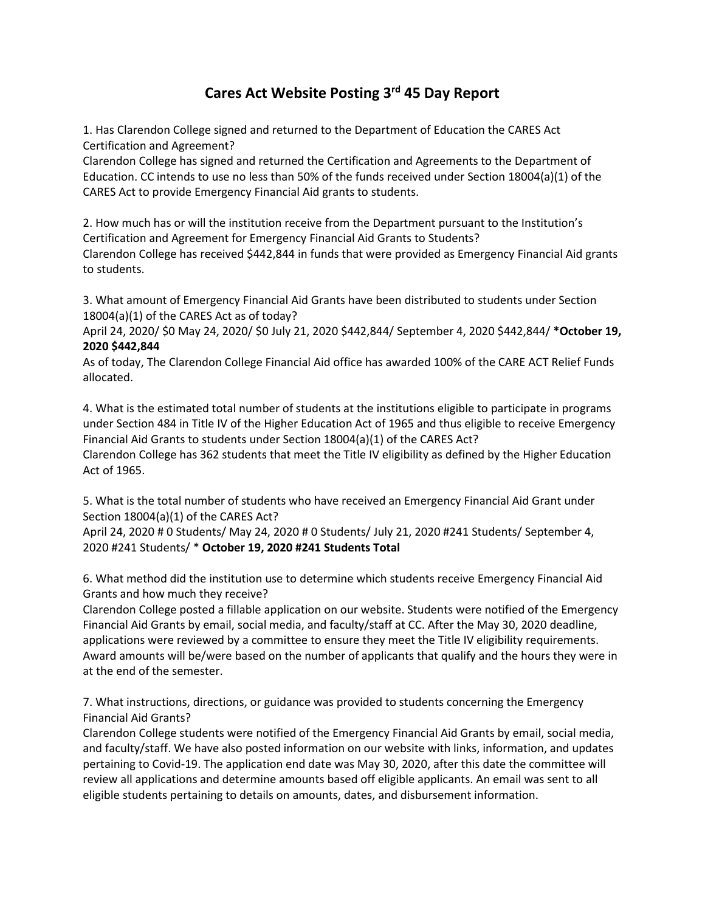## **Cares Act Website Posting 3rd 45 Day Report**

1. Has Clarendon College signed and returned to the Department of Education the CARES Act Certification and Agreement?

Clarendon College has signed and returned the Certification and Agreements to the Department of Education. CC intends to use no less than 50% of the funds received under Section 18004(a)(1) of the CARES Act to provide Emergency Financial Aid grants to students.

2. How much has or will the institution receive from the Department pursuant to the Institution's Certification and Agreement for Emergency Financial Aid Grants to Students?

Clarendon College has received \$442,844 in funds that were provided as Emergency Financial Aid grants to students.

3. What amount of Emergency Financial Aid Grants have been distributed to students under Section 18004(a)(1) of the CARES Act as of today?

April 24, 2020/ \$0 May 24, 2020/ \$0 July 21, 2020 \$442,844/ September 4, 2020 \$442,844/ **\*October 19, 2020 \$442,844**

As of today, The Clarendon College Financial Aid office has awarded 100% of the CARE ACT Relief Funds allocated.

4. What is the estimated total number of students at the institutions eligible to participate in programs under Section 484 in Title IV of the Higher Education Act of 1965 and thus eligible to receive Emergency Financial Aid Grants to students under Section 18004(a)(1) of the CARES Act? Clarendon College has 362 students that meet the Title IV eligibility as defined by the Higher Education Act of 1965.

5. What is the total number of students who have received an Emergency Financial Aid Grant under Section 18004(a)(1) of the CARES Act?

April 24, 2020 # 0 Students/ May 24, 2020 # 0 Students/ July 21, 2020 #241 Students/ September 4, 2020 #241 Students/ \* **October 19, 2020 #241 Students Total**

6. What method did the institution use to determine which students receive Emergency Financial Aid Grants and how much they receive?

Clarendon College posted a fillable application on our website. Students were notified of the Emergency Financial Aid Grants by email, social media, and faculty/staff at CC. After the May 30, 2020 deadline, applications were reviewed by a committee to ensure they meet the Title IV eligibility requirements. Award amounts will be/were based on the number of applicants that qualify and the hours they were in at the end of the semester.

7. What instructions, directions, or guidance was provided to students concerning the Emergency Financial Aid Grants?

Clarendon College students were notified of the Emergency Financial Aid Grants by email, social media, and faculty/staff. We have also posted information on our website with links, information, and updates pertaining to Covid-19. The application end date was May 30, 2020, after this date the committee will review all applications and determine amounts based off eligible applicants. An email was sent to all eligible students pertaining to details on amounts, dates, and disbursement information.